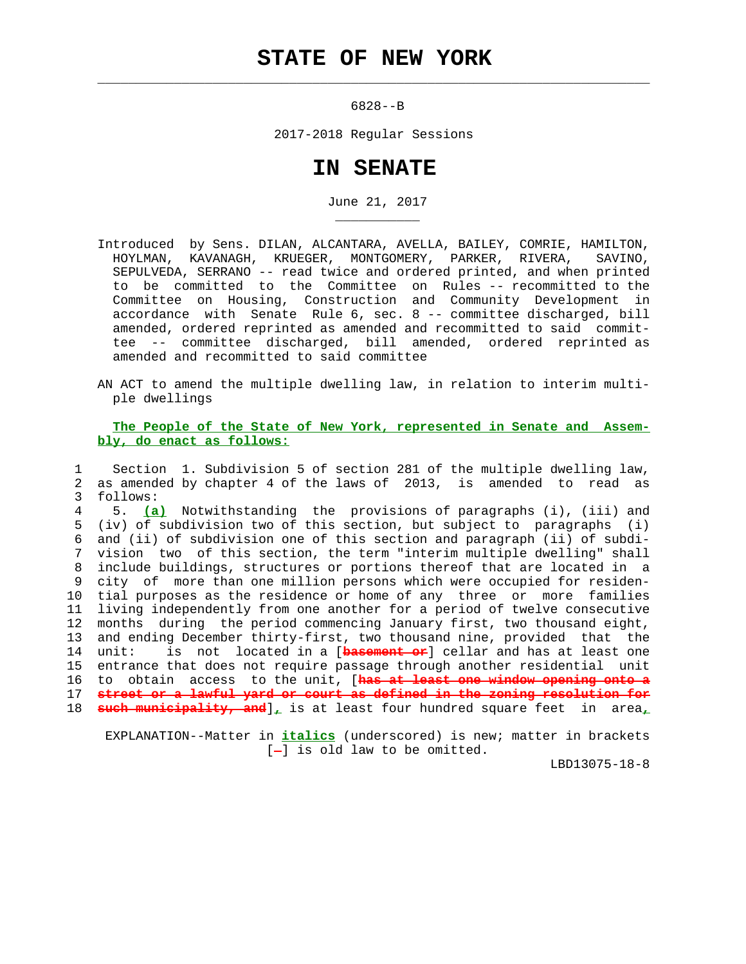## **STATE OF NEW YORK**

 $\mathcal{L}_\text{max} = \frac{1}{2} \sum_{i=1}^{n} \frac{1}{2} \sum_{i=1}^{n} \frac{1}{2} \sum_{i=1}^{n} \frac{1}{2} \sum_{i=1}^{n} \frac{1}{2} \sum_{i=1}^{n} \frac{1}{2} \sum_{i=1}^{n} \frac{1}{2} \sum_{i=1}^{n} \frac{1}{2} \sum_{i=1}^{n} \frac{1}{2} \sum_{i=1}^{n} \frac{1}{2} \sum_{i=1}^{n} \frac{1}{2} \sum_{i=1}^{n} \frac{1}{2} \sum_{i=1}^{n} \frac{1$ 

\_\_\_\_\_\_\_\_\_\_\_

6828--B

2017-2018 Regular Sessions

## **IN SENATE**

June 21, 2017

 Introduced by Sens. DILAN, ALCANTARA, AVELLA, BAILEY, COMRIE, HAMILTON, HOYLMAN, KAVANAGH, KRUEGER, MONTGOMERY, PARKER, RIVERA, SAVINO, SEPULVEDA, SERRANO -- read twice and ordered printed, and when printed to be committed to the Committee on Rules -- recommitted to the Committee on Housing, Construction and Community Development in accordance with Senate Rule 6, sec. 8 -- committee discharged, bill amended, ordered reprinted as amended and recommitted to said commit tee -- committee discharged, bill amended, ordered reprinted as amended and recommitted to said committee

 AN ACT to amend the multiple dwelling law, in relation to interim multi ple dwellings

## **The People of the State of New York, represented in Senate and Assem bly, do enact as follows:**

 1 Section 1. Subdivision 5 of section 281 of the multiple dwelling law, 2 as amended by chapter 4 of the laws of 2013, is amended to read as 3 follows:

 4 5. **(a)** Notwithstanding the provisions of paragraphs (i), (iii) and 5 (iv) of subdivision two of this section, but subject to paragraphs (i) 6 and (ii) of subdivision one of this section and paragraph (ii) of subdi- 7 vision two of this section, the term "interim multiple dwelling" shall 8 include buildings, structures or portions thereof that are located in a 9 city of more than one million persons which were occupied for residen- 10 tial purposes as the residence or home of any three or more families 11 living independently from one another for a period of twelve consecutive 12 months during the period commencing January first, two thousand eight, 13 and ending December thirty-first, two thousand nine, provided that the 14 unit: is not located in a [**basement or**] cellar and has at least one 15 entrance that does not require passage through another residential unit 16 to obtain access to the unit, [**has at least one window opening onto a** 17 **street or a lawful yard or court as defined in the zoning resolution for** 18 **such municipality, and**]**,** is at least four hundred square feet in area**,**

 EXPLANATION--Matter in **italics** (underscored) is new; matter in brackets  $[-]$  is old law to be omitted.

LBD13075-18-8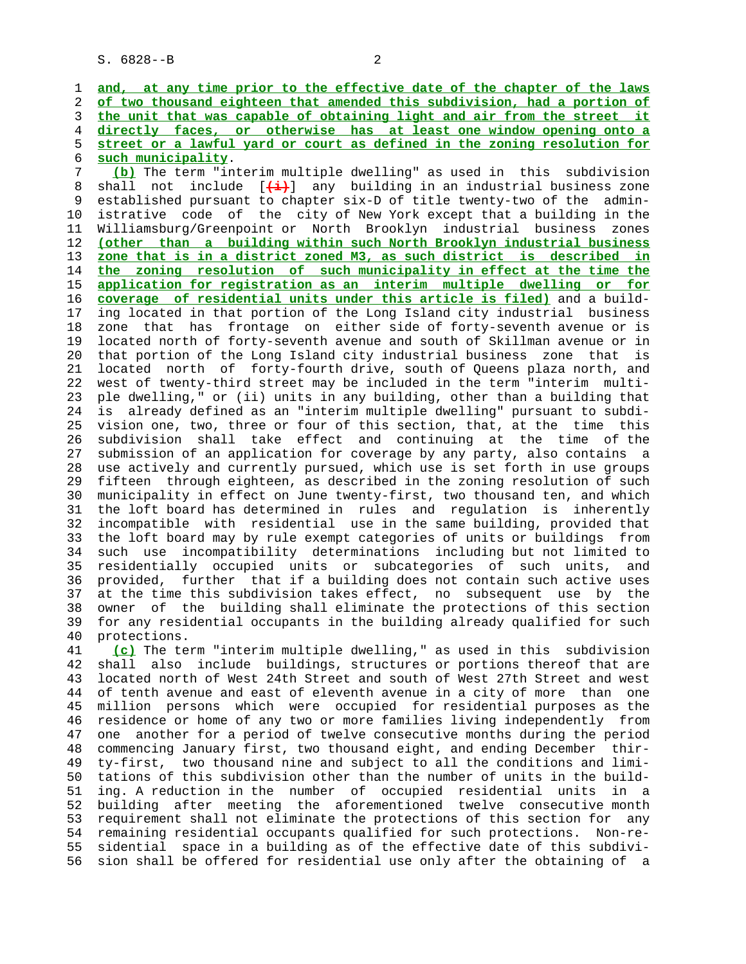7 **(b)** The term "interim multiple dwelling" as used in this subdivision 8 shall not include [ $\frac{1}{2}$ ] any building in an industrial business zone<br>9 established pursuant to chapter six-D of title twenty-two of the adminestablished pursuant to chapter six-D of title twenty-two of the admin- 10 istrative code of the city of New York except that a building in the 11 Williamsburg/Greenpoint or North Brooklyn industrial business zones 12 **(other than a building within such North Brooklyn industrial business** 13 **zone that is in a district zoned M3, as such district is described in** 14 **the zoning resolution of such municipality in effect at the time the** 15 **application for registration as an interim multiple dwelling or for** 16 **coverage of residential units under this article is filed)** and a build- 17 ing located in that portion of the Long Island city industrial business 18 zone that has frontage on either side of forty-seventh avenue or is 19 located north of forty-seventh avenue and south of Skillman avenue or in 20 that portion of the Long Island city industrial business zone that is 21 located north of forty-fourth drive, south of Queens plaza north, and 22 west of twenty-third street may be included in the term "interim multi- 23 ple dwelling," or (ii) units in any building, other than a building that 24 is already defined as an "interim multiple dwelling" pursuant to subdi- 25 vision one, two, three or four of this section, that, at the time this 26 subdivision shall take effect and continuing at the time of the 27 submission of an application for coverage by any party, also contains a 28 use actively and currently pursued, which use is set forth in use groups 29 fifteen through eighteen, as described in the zoning resolution of such 30 municipality in effect on June twenty-first, two thousand ten, and which 31 the loft board has determined in rules and regulation is inherently 32 incompatible with residential use in the same building, provided that 33 the loft board may by rule exempt categories of units or buildings from 34 such use incompatibility determinations including but not limited to 35 residentially occupied units or subcategories of such units, and 36 provided, further that if a building does not contain such active uses 37 at the time this subdivision takes effect, no subsequent use by the 38 owner of the building shall eliminate the protections of this section 39 for any residential occupants in the building already qualified for such 40 protections.

 41 **(c)** The term "interim multiple dwelling," as used in this subdivision 42 shall also include buildings, structures or portions thereof that are 43 located north of West 24th Street and south of West 27th Street and west 44 of tenth avenue and east of eleventh avenue in a city of more than one 45 million persons which were occupied for residential purposes as the 46 residence or home of any two or more families living independently from 47 one another for a period of twelve consecutive months during the period 48 commencing January first, two thousand eight, and ending December thir- 49 ty-first, two thousand nine and subject to all the conditions and limi- 50 tations of this subdivision other than the number of units in the build- 51 ing. A reduction in the number of occupied residential units in a 52 building after meeting the aforementioned twelve consecutive month 53 requirement shall not eliminate the protections of this section for any 54 remaining residential occupants qualified for such protections. Non-re- 55 sidential space in a building as of the effective date of this subdivi- 56 sion shall be offered for residential use only after the obtaining of a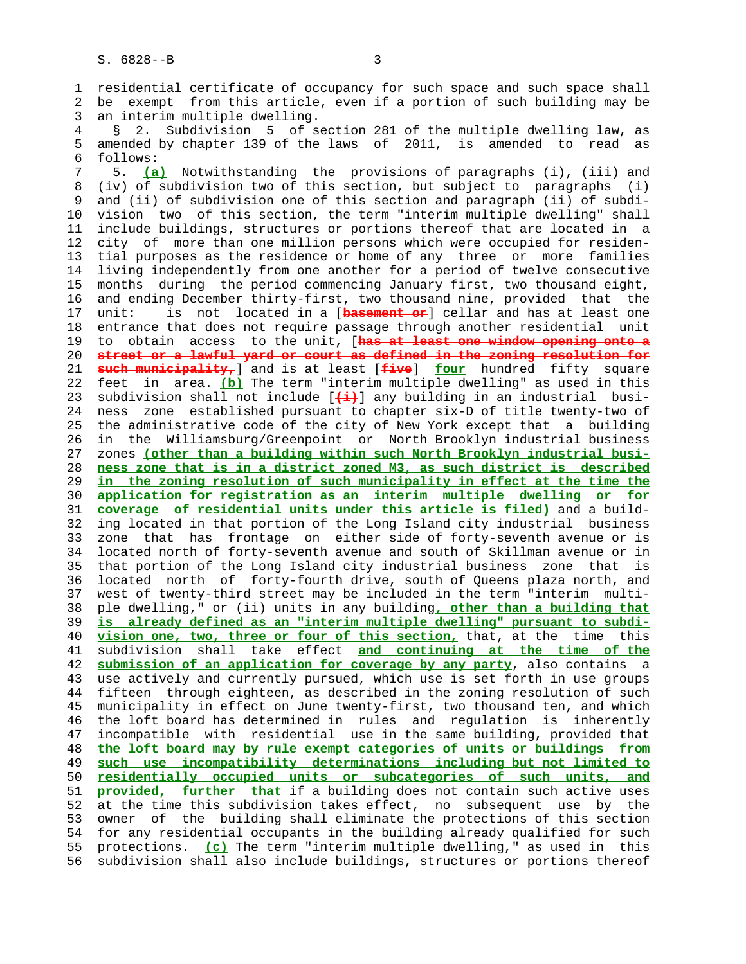1 residential certificate of occupancy for such space and such space shall 2 be exempt from this article, even if a portion of such building may be 3 an interim multiple dwelling.

 4 § 2. Subdivision 5 of section 281 of the multiple dwelling law, as 5 amended by chapter 139 of the laws of 2011, is amended to read as 6 follows:

 7 5. **(a)** Notwithstanding the provisions of paragraphs (i), (iii) and 8 (iv) of subdivision two of this section, but subject to paragraphs (i) and (ii) of subdivision one of this section and paragraph (ii) of subdi- 10 vision two of this section, the term "interim multiple dwelling" shall 11 include buildings, structures or portions thereof that are located in a 12 city of more than one million persons which were occupied for residen- 13 tial purposes as the residence or home of any three or more families 14 living independently from one another for a period of twelve consecutive 15 months during the period commencing January first, two thousand eight, 16 and ending December thirty-first, two thousand nine, provided that the 17 unit: is not located in a [**basement or**] cellar and has at least one 18 entrance that does not require passage through another residential unit 19 to obtain access to the unit, [**has at least one window opening onto a** 20 **street or a lawful yard or court as defined in the zoning resolution for** 21 **such municipality,**] and is at least [**five**] **four** hundred fifty square 22 feet in area. **(b)** The term "interim multiple dwelling" as used in this 23 subdivision shall not include [**(i)**] any building in an industrial busi- 24 ness zone established pursuant to chapter six-D of title twenty-two of 25 the administrative code of the city of New York except that a building 26 in the Williamsburg/Greenpoint or North Brooklyn industrial business 27 zones **(other than a building within such North Brooklyn industrial busi-** 28 **ness zone that is in a district zoned M3, as such district is described** 29 **in the zoning resolution of such municipality in effect at the time the** 30 **application for registration as an interim multiple dwelling or for** 31 **coverage of residential units under this article is filed)** and a build- 32 ing located in that portion of the Long Island city industrial business 33 zone that has frontage on either side of forty-seventh avenue or is 34 located north of forty-seventh avenue and south of Skillman avenue or in 35 that portion of the Long Island city industrial business zone that is 36 located north of forty-fourth drive, south of Queens plaza north, and 37 west of twenty-third street may be included in the term "interim multi- 38 ple dwelling," or (ii) units in any building**, other than a building that** 39 **is already defined as an "interim multiple dwelling" pursuant to subdi-** 40 **vision one, two, three or four of this section,** that, at the time this 41 subdivision shall take effect **and continuing at the time of the** 42 **submission of an application for coverage by any party**, also contains a 43 use actively and currently pursued, which use is set forth in use groups 44 fifteen through eighteen, as described in the zoning resolution of such 45 municipality in effect on June twenty-first, two thousand ten, and which 46 the loft board has determined in rules and regulation is inherently 47 incompatible with residential use in the same building, provided that 48 **the loft board may by rule exempt categories of units or buildings from** 49 **such use incompatibility determinations including but not limited to** 50 **residentially occupied units or subcategories of such units, and** 51 **provided, further that** if a building does not contain such active uses 52 at the time this subdivision takes effect, no subsequent use by the 53 owner of the building shall eliminate the protections of this section 54 for any residential occupants in the building already qualified for such 55 protections. **(c)** The term "interim multiple dwelling," as used in this 56 subdivision shall also include buildings, structures or portions thereof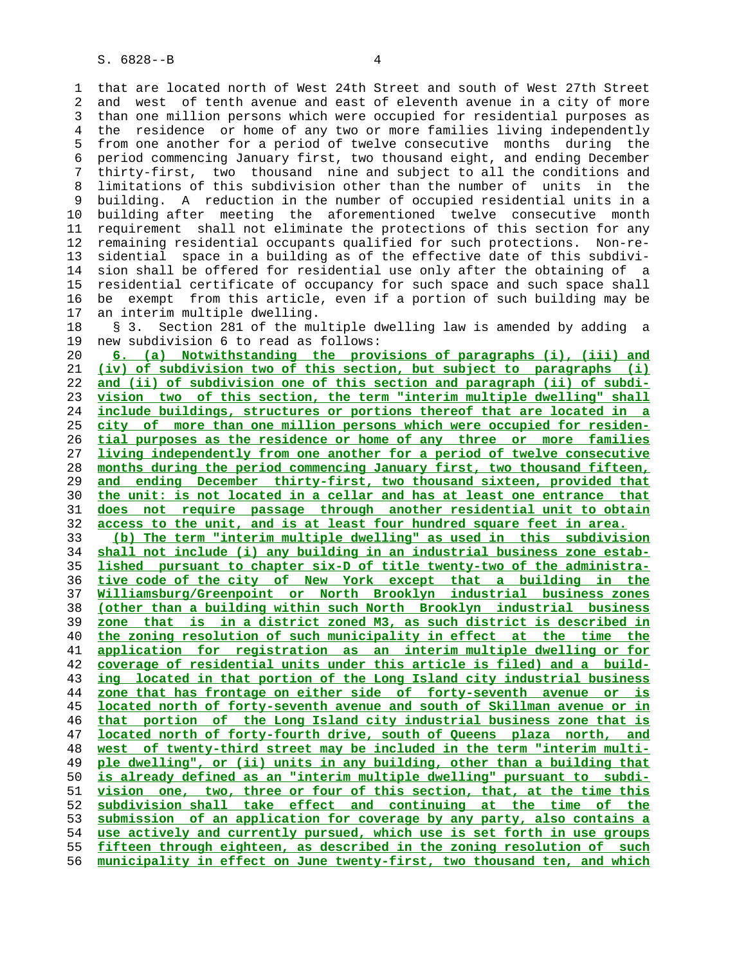1 that are located north of West 24th Street and south of West 27th Street 2 and west of tenth avenue and east of eleventh avenue in a city of more 3 than one million persons which were occupied for residential purposes as 4 the residence or home of any two or more families living independently 5 from one another for a period of twelve consecutive months during the 6 period commencing January first, two thousand eight, and ending December 7 thirty-first, two thousand nine and subject to all the conditions and 8 limitations of this subdivision other than the number of units in the 9 building. A reduction in the number of occupied residential units in a 10 building after meeting the aforementioned twelve consecutive month 11 requirement shall not eliminate the protections of this section for any 12 remaining residential occupants qualified for such protections. Non-re- 13 sidential space in a building as of the effective date of this subdivi- 14 sion shall be offered for residential use only after the obtaining of a 15 residential certificate of occupancy for such space and such space shall 16 be exempt from this article, even if a portion of such building may be 17 an interim multiple dwelling.

 18 § 3. Section 281 of the multiple dwelling law is amended by adding a 19 new subdivision 6 to read as follows:

**6. (a) Notwithstanding the provisions of paragraphs (i), (iii) and (iv) of subdivision two of this section, but subject to paragraphs (i) and (ii) of subdivision one of this section and paragraph (ii) of subdi- vision two of this section, the term "interim multiple dwelling" shall include buildings, structures or portions thereof that are located in a city of more than one million persons which were occupied for residen- tial purposes as the residence or home of any three or more families living independently from one another for a period of twelve consecutive months during the period commencing January first, two thousand fifteen, and ending December thirty-first, two thousand sixteen, provided that the unit: is not located in a cellar and has at least one entrance that does not require passage through another residential unit to obtain access to the unit, and is at least four hundred square feet in area. (b) The term "interim multiple dwelling" as used in this subdivision**

**shall not include (i) any building in an industrial business zone estab- lished pursuant to chapter six-D of title twenty-two of the administra- tive code of the city of New York except that a building in the Williamsburg/Greenpoint or North Brooklyn industrial business zones (other than a building within such North Brooklyn industrial business zone that is in a district zoned M3, as such district is described in the zoning resolution of such municipality in effect at the time the application for registration as an interim multiple dwelling or for coverage of residential units under this article is filed) and a build- ing located in that portion of the Long Island city industrial business zone that has frontage on either side of forty-seventh avenue or is located north of forty-seventh avenue and south of Skillman avenue or in that portion of the Long Island city industrial business zone that is located north of forty-fourth drive, south of Queens plaza north, and west of twenty-third street may be included in the term "interim multi- ple dwelling", or (ii) units in any building, other than a building that is already defined as an "interim multiple dwelling" pursuant to subdi- vision one, two, three or four of this section, that, at the time this subdivision shall take effect and continuing at the time of the submission of an application for coverage by any party, also contains a use actively and currently pursued, which use is set forth in use groups fifteen through eighteen, as described in the zoning resolution of such municipality in effect on June twenty-first, two thousand ten, and which**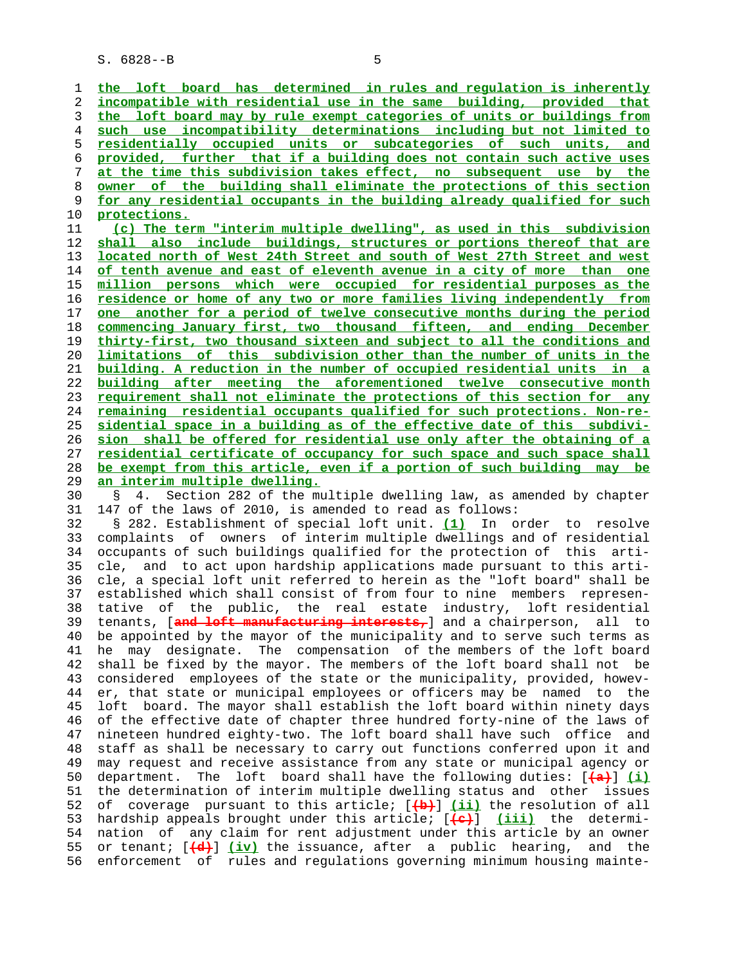S. 6828--B 5

**the loft board has determined in rules and regulation is inherently incompatible with residential use in the same building, provided that the loft board may by rule exempt categories of units or buildings from such use incompatibility determinations including but not limited to residentially occupied units or subcategories of such units, and provided, further that if a building does not contain such active uses at the time this subdivision takes effect, no subsequent use by the owner of the building shall eliminate the protections of this section for any residential occupants in the building already qualified for such protections.**

**(c) The term "interim multiple dwelling", as used in this subdivision shall also include buildings, structures or portions thereof that are located north of West 24th Street and south of West 27th Street and west of tenth avenue and east of eleventh avenue in a city of more than one million persons which were occupied for residential purposes as the residence or home of any two or more families living independently from one another for a period of twelve consecutive months during the period commencing January first, two thousand fifteen, and ending December thirty-first, two thousand sixteen and subject to all the conditions and limitations of this subdivision other than the number of units in the building. A reduction in the number of occupied residential units in a building after meeting the aforementioned twelve consecutive month requirement shall not eliminate the protections of this section for any remaining residential occupants qualified for such protections. Non-re- sidential space in a building as of the effective date of this subdivi- sion shall be offered for residential use only after the obtaining of a residential certificate of occupancy for such space and such space shall be exempt from this article, even if a portion of such building may be an interim multiple dwelling.**

 30 § 4. Section 282 of the multiple dwelling law, as amended by chapter 31 147 of the laws of 2010, is amended to read as follows:

 32 § 282. Establishment of special loft unit. **(1)** In order to resolve 33 complaints of owners of interim multiple dwellings and of residential 34 occupants of such buildings qualified for the protection of this arti- 35 cle, and to act upon hardship applications made pursuant to this arti- 36 cle, a special loft unit referred to herein as the "loft board" shall be 37 established which shall consist of from four to nine members represen- 38 tative of the public, the real estate industry, loft residential 39 tenants, [**and loft manufacturing interests,**] and a chairperson, all to 40 be appointed by the mayor of the municipality and to serve such terms as 41 he may designate. The compensation of the members of the loft board 42 shall be fixed by the mayor. The members of the loft board shall not be 43 considered employees of the state or the municipality, provided, howev- 44 er, that state or municipal employees or officers may be named to the 45 loft board. The mayor shall establish the loft board within ninety days 46 of the effective date of chapter three hundred forty-nine of the laws of 47 nineteen hundred eighty-two. The loft board shall have such office and 48 staff as shall be necessary to carry out functions conferred upon it and 49 may request and receive assistance from any state or municipal agency or 50 department. The loft board shall have the following duties: [**(a)**] **(i)** 51 the determination of interim multiple dwelling status and other issues 52 of coverage pursuant to this article; [**(b)**] **(ii)** the resolution of all 53 hardship appeals brought under this article; [**(c)**] **(iii)** the determi- 54 nation of any claim for rent adjustment under this article by an owner 55 or tenant; [**(d)**] **(iv)** the issuance, after a public hearing, and the 56 enforcement of rules and regulations governing minimum housing mainte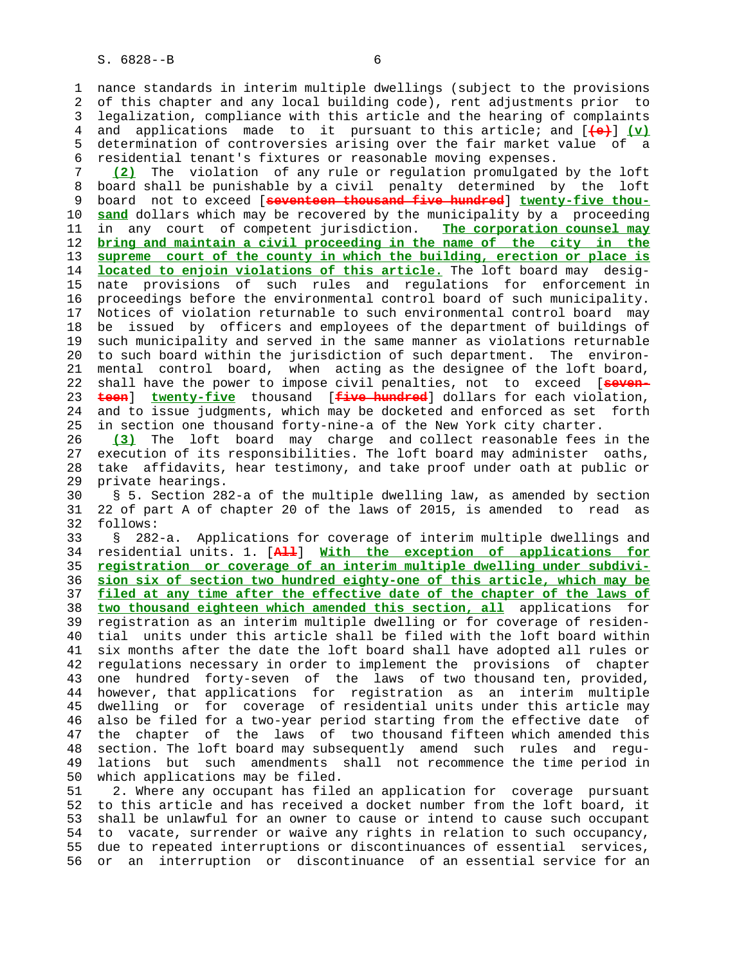1 nance standards in interim multiple dwellings (subject to the provisions 2 of this chapter and any local building code), rent adjustments prior to 3 legalization, compliance with this article and the hearing of complaints 4 and applications made to it pursuant to this article; and [**(e)**] **(v)** 5 determination of controversies arising over the fair market value of a 6 residential tenant's fixtures or reasonable moving expenses.

 7 **(2)** The violation of any rule or regulation promulgated by the loft 8 board shall be punishable by a civil penalty determined by the loft<br>9 board not to exceed [seventeen thousand five hundred] twenty-five thou- 9 board not to exceed [**seventeen thousand five hundred**] **twenty-five thou-** 10 **sand** dollars which may be recovered by the municipality by a proceeding 11 in any court of competent jurisdiction. **The corporation counsel may** 12 **bring and maintain a civil proceeding in the name of the city in the** 13 **supreme court of the county in which the building, erection or place is** 14 **located to enjoin violations of this article.** The loft board may desig- 15 nate provisions of such rules and regulations for enforcement in 16 proceedings before the environmental control board of such municipality. 17 Notices of violation returnable to such environmental control board may 18 be issued by officers and employees of the department of buildings of 19 such municipality and served in the same manner as violations returnable 20 to such board within the jurisdiction of such department. The environ- 21 mental control board, when acting as the designee of the loft board, 22 shall have the power to impose civil penalties, not to exceed [**seven-** 23 **teen**] **twenty-five** thousand [**five hundred**] dollars for each violation, 24 and to issue judgments, which may be docketed and enforced as set forth 25 in section one thousand forty-nine-a of the New York city charter.

 26 **(3)** The loft board may charge and collect reasonable fees in the 27 execution of its responsibilities. The loft board may administer oaths, 28 take affidavits, hear testimony, and take proof under oath at public or 29 private hearings.

 30 § 5. Section 282-a of the multiple dwelling law, as amended by section 31 22 of part A of chapter 20 of the laws of 2015, is amended to read as 32 follows:

 33 § 282-a. Applications for coverage of interim multiple dwellings and 34 residential units. 1. [**All**] **With the exception of applications for** 35 **registration or coverage of an interim multiple dwelling under subdivi-** 36 **sion six of section two hundred eighty-one of this article, which may be** 37 **filed at any time after the effective date of the chapter of the laws of** 38 **two thousand eighteen which amended this section, all** applications for 39 registration as an interim multiple dwelling or for coverage of residen- 40 tial units under this article shall be filed with the loft board within 41 six months after the date the loft board shall have adopted all rules or 42 regulations necessary in order to implement the provisions of chapter 43 one hundred forty-seven of the laws of two thousand ten, provided, 44 however, that applications for registration as an interim multiple 45 dwelling or for coverage of residential units under this article may 46 also be filed for a two-year period starting from the effective date of 47 the chapter of the laws of two thousand fifteen which amended this 48 section. The loft board may subsequently amend such rules and regu- 49 lations but such amendments shall not recommence the time period in 50 which applications may be filed.

 51 2. Where any occupant has filed an application for coverage pursuant 52 to this article and has received a docket number from the loft board, it 53 shall be unlawful for an owner to cause or intend to cause such occupant 54 to vacate, surrender or waive any rights in relation to such occupancy, 55 due to repeated interruptions or discontinuances of essential services, 56 or an interruption or discontinuance of an essential service for an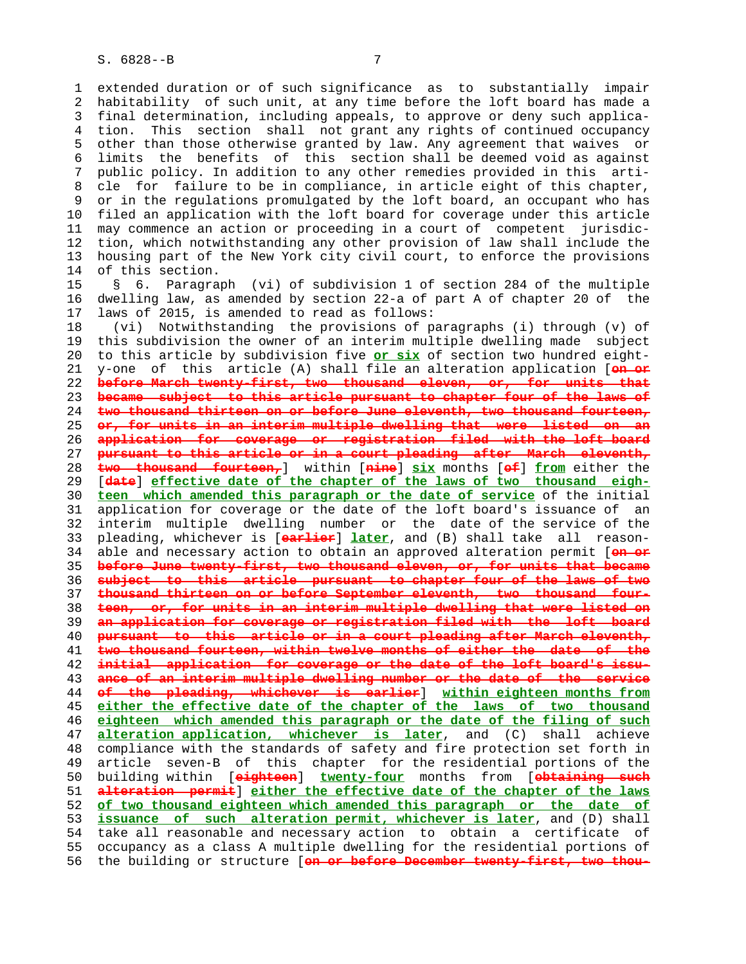1 extended duration or of such significance as to substantially impair 2 habitability of such unit, at any time before the loft board has made a 3 final determination, including appeals, to approve or deny such applica- 4 tion. This section shall not grant any rights of continued occupancy 5 other than those otherwise granted by law. Any agreement that waives or 6 limits the benefits of this section shall be deemed void as against 7 public policy. In addition to any other remedies provided in this arti- 8 cle for failure to be in compliance, in article eight of this chapter, 9 or in the regulations promulgated by the loft board, an occupant who has 10 filed an application with the loft board for coverage under this article 11 may commence an action or proceeding in a court of competent jurisdic- 12 tion, which notwithstanding any other provision of law shall include the 13 housing part of the New York city civil court, to enforce the provisions 14 of this section.

 15 § 6. Paragraph (vi) of subdivision 1 of section 284 of the multiple 16 dwelling law, as amended by section 22-a of part A of chapter 20 of the 17 laws of 2015, is amended to read as follows:

 18 (vi) Notwithstanding the provisions of paragraphs (i) through (v) of 19 this subdivision the owner of an interim multiple dwelling made subject 20 to this article by subdivision five **or six** of section two hundred eight- 21 y-one of this article (A) shall file an alteration application [**on or before March twenty-first, two thousand eleven, or, for units that became subject to this article pursuant to chapter four of the laws of two thousand thirteen on or before June eleventh, two thousand fourteen, or, for units in an interim multiple dwelling that were listed on an application for coverage or registration filed with the loft board pursuant to this article or in a court pleading after March eleventh, two thousand fourteen,**] within [**nine**] **six** months [**of**] **from** either the 29 [**date**] **effective date of the chapter of the laws of two thousand eigh- teen which amended this paragraph or the date of service** of the initial 31 application for coverage or the date of the loft board's issuance of an 32 interim multiple dwelling number or the date of the service of the 33 pleading, whichever is [**earlier**] **later**, and (B) shall take all reason- 34 able and necessary action to obtain an approved alteration permit [**on or before June twenty-first, two thousand eleven, or, for units that became subject to this article pursuant to chapter four of the laws of two thousand thirteen on or before September eleventh, two thousand four- teen, or, for units in an interim multiple dwelling that were listed on an application for coverage or registration filed with the loft board pursuant to this article or in a court pleading after March eleventh, two thousand fourteen, within twelve months of either the date of the initial application for coverage or the date of the loft board's issu- ance of an interim multiple dwelling number or the date of the service of the pleading, whichever is earlier**] **within eighteen months from either the effective date of the chapter of the laws of two thousand eighteen which amended this paragraph or the date of the filing of such alteration application, whichever is later**, and (C) shall achieve 48 compliance with the standards of safety and fire protection set forth in 49 article seven-B of this chapter for the residential portions of the 50 building within [**eighteen**] **twenty-four** months from [**obtaining such alteration permit**] **either the effective date of the chapter of the laws of two thousand eighteen which amended this paragraph or the date of issuance of such alteration permit, whichever is later**, and (D) shall 54 take all reasonable and necessary action to obtain a certificate of 55 occupancy as a class A multiple dwelling for the residential portions of 56 the building or structure [**on or before December twenty-first, two thou-**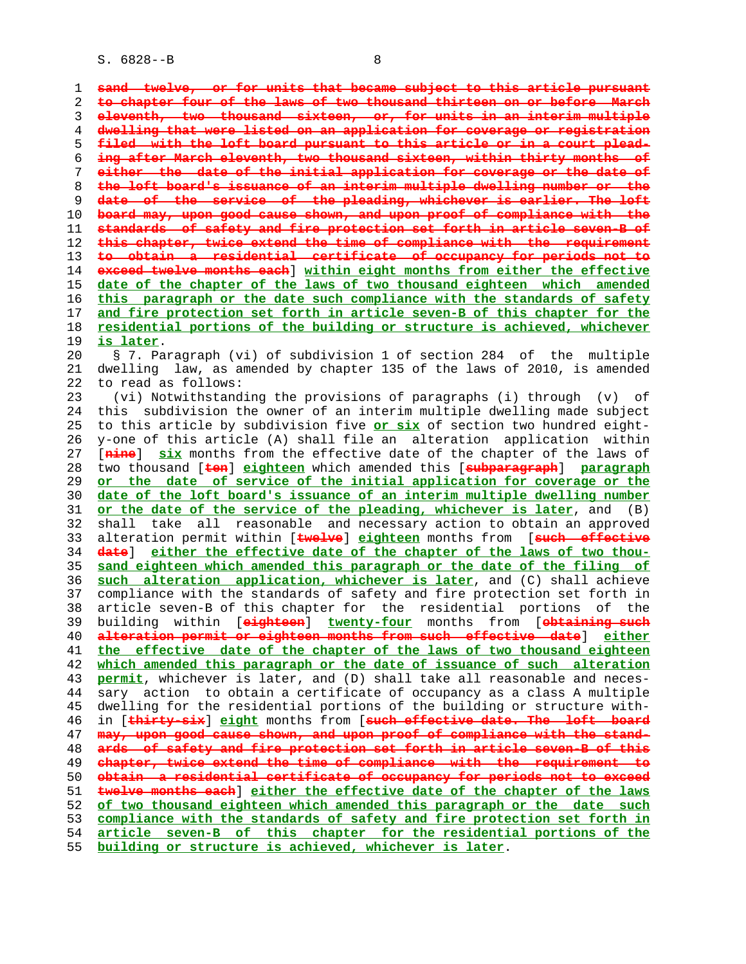S. 6828--B 8

**sand twelve, or for units that became subject to this article pursuant to chapter four of the laws of two thousand thirteen on or before March eleventh, two thousand sixteen, or, for units in an interim multiple dwelling that were listed on an application for coverage or registration filed with the loft board pursuant to this article or in a court plead- ing after March eleventh, two thousand sixteen, within thirty months of either the date of the initial application for coverage or the date of the loft board's issuance of an interim multiple dwelling number or the date of the service of the pleading, whichever is earlier. The loft board may, upon good cause shown, and upon proof of compliance with the standards of safety and fire protection set forth in article seven-B of this chapter, twice extend the time of compliance with the requirement to obtain a residential certificate of occupancy for periods not to exceed twelve months each**] **within eight months from either the effective date of the chapter of the laws of two thousand eighteen which amended this paragraph or the date such compliance with the standards of safety and fire protection set forth in article seven-B of this chapter for the residential portions of the building or structure is achieved, whichever is later**. 20 § 7. Paragraph (vi) of subdivision 1 of section 284 of the multiple 21 dwelling law, as amended by chapter 135 of the laws of 2010, is amended 22 to read as follows: 23 (vi) Notwithstanding the provisions of paragraphs (i) through (v) of 24 this subdivision the owner of an interim multiple dwelling made subject 25 to this article by subdivision five **or six** of section two hundred eight- 26 y-one of this article (A) shall file an alteration application within 27 [**nine**] **six** months from the effective date of the chapter of the laws of 28 two thousand [**ten**] **eighteen** which amended this [**subparagraph**] **paragraph or the date of service of the initial application for coverage or the date of the loft board's issuance of an interim multiple dwelling number or the date of the service of the pleading, whichever is later**, and (B) 32 shall take all reasonable and necessary action to obtain an approved 33 alteration permit within [**twelve**] **eighteen** months from [**such effective date**] **either the effective date of the chapter of the laws of two thou- sand eighteen which amended this paragraph or the date of the filing of such alteration application, whichever is later**, and (C) shall achieve 37 compliance with the standards of safety and fire protection set forth in 38 article seven-B of this chapter for the residential portions of the 39 building within [**eighteen**] **twenty-four** months from [**obtaining such alteration permit or eighteen months from such effective date**] **either the effective date of the chapter of the laws of two thousand eighteen which amended this paragraph or the date of issuance of such alteration permit**, whichever is later, and (D) shall take all reasonable and neces- 44 sary action to obtain a certificate of occupancy as a class A multiple 45 dwelling for the residential portions of the building or structure with- 46 in [**thirty-six**] **eight** months from [**such effective date. The loft board may, upon good cause shown, and upon proof of compliance with the stand- ards of safety and fire protection set forth in article seven-B of this chapter, twice extend the time of compliance with the requirement to obtain a residential certificate of occupancy for periods not to exceed twelve months each**] **either the effective date of the chapter of the laws of two thousand eighteen which amended this paragraph or the date such compliance with the standards of safety and fire protection set forth in article seven-B of this chapter for the residential portions of the building or structure is achieved, whichever is later**.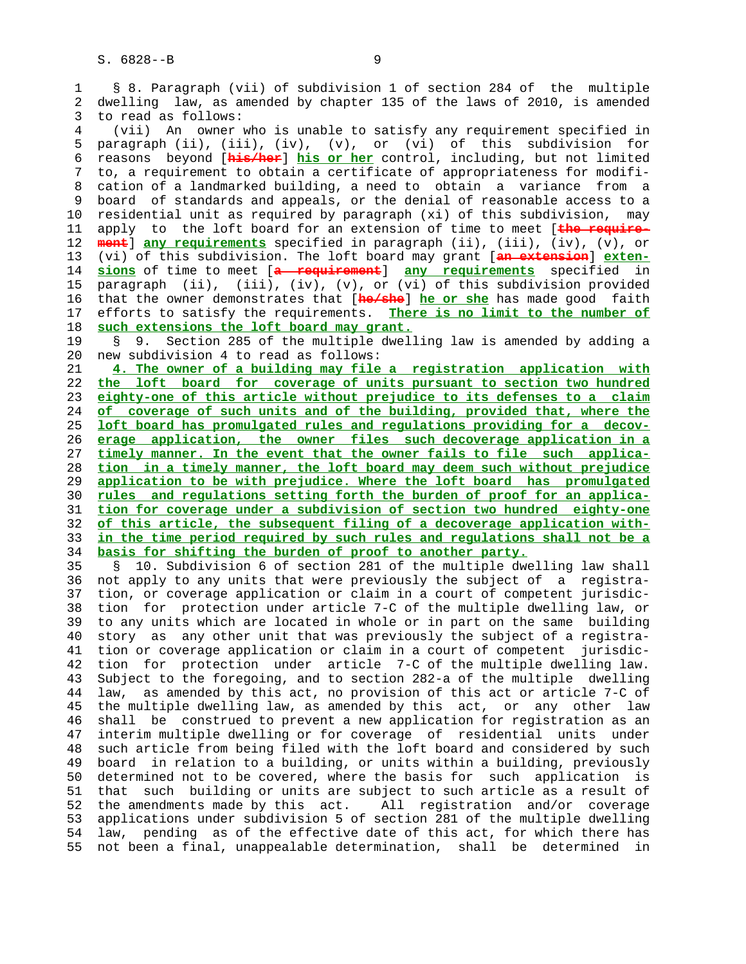1 § 8. Paragraph (vii) of subdivision 1 of section 284 of the multiple 2 dwelling law, as amended by chapter 135 of the laws of 2010, is amended 3 to read as follows: 4 (vii) An owner who is unable to satisfy any requirement specified in 5 paragraph (ii), (iii), (iv), (v), or (vi) of this subdivision for 6 reasons beyond [**his/her**] **his or her** control, including, but not limited 7 to, a requirement to obtain a certificate of appropriateness for modifi- 8 cation of a landmarked building, a need to obtain a variance from a 9 board of standards and appeals, or the denial of reasonable access to a 10 residential unit as required by paragraph (xi) of this subdivision, may 11 apply to the loft board for an extension of time to meet [**the require-** 12 **ment**] **any requirements** specified in paragraph (ii), (iii), (iv), (v), or 13 (vi) of this subdivision. The loft board may grant [**an extension**] **exten-** 14 **sions** of time to meet [**a requirement**] **any requirements** specified in 15 paragraph (ii), (iii), (iv), (v), or (vi) of this subdivision provided 16 that the owner demonstrates that [**he/she**] **he or she** has made good faith 17 efforts to satisfy the requirements. **There is no limit to the number of** 18 **such extensions the loft board may grant.** 19 § 9. Section 285 of the multiple dwelling law is amended by adding a 20 new subdivision 4 to read as follows: 21 **4. The owner of a building may file a registration application with** 22 **the loft board for coverage of units pursuant to section two hundred** 23 **eighty-one of this article without prejudice to its defenses to a claim** 24 **of coverage of such units and of the building, provided that, where the** 25 **loft board has promulgated rules and regulations providing for a decov-** 26 **erage application, the owner files such decoverage application in a** 27 **timely manner. In the event that the owner fails to file such applica-** 28 **tion in a timely manner, the loft board may deem such without prejudice** 29 **application to be with prejudice. Where the loft board has promulgated** 30 **rules and regulations setting forth the burden of proof for an applica-** 31 **tion for coverage under a subdivision of section two hundred eighty-one** 32 **of this article, the subsequent filing of a decoverage application with-** 33 **in the time period required by such rules and regulations shall not be a** 34 **basis for shifting the burden of proof to another party.** 35 § 10. Subdivision 6 of section 281 of the multiple dwelling law shall 36 not apply to any units that were previously the subject of a registra- 37 tion, or coverage application or claim in a court of competent jurisdic- 38 tion for protection under article 7-C of the multiple dwelling law, or

 39 to any units which are located in whole or in part on the same building 40 story as any other unit that was previously the subject of a registra- 41 tion or coverage application or claim in a court of competent jurisdic- 42 tion for protection under article 7-C of the multiple dwelling law. 43 Subject to the foregoing, and to section 282-a of the multiple dwelling 44 law, as amended by this act, no provision of this act or article 7-C of 45 the multiple dwelling law, as amended by this act, or any other law 46 shall be construed to prevent a new application for registration as an 47 interim multiple dwelling or for coverage of residential units under 48 such article from being filed with the loft board and considered by such 49 board in relation to a building, or units within a building, previously 50 determined not to be covered, where the basis for such application is 51 that such building or units are subject to such article as a result of 52 the amendments made by this act. All registration and/or coverage 53 applications under subdivision 5 of section 281 of the multiple dwelling 54 law, pending as of the effective date of this act, for which there has 55 not been a final, unappealable determination, shall be determined in